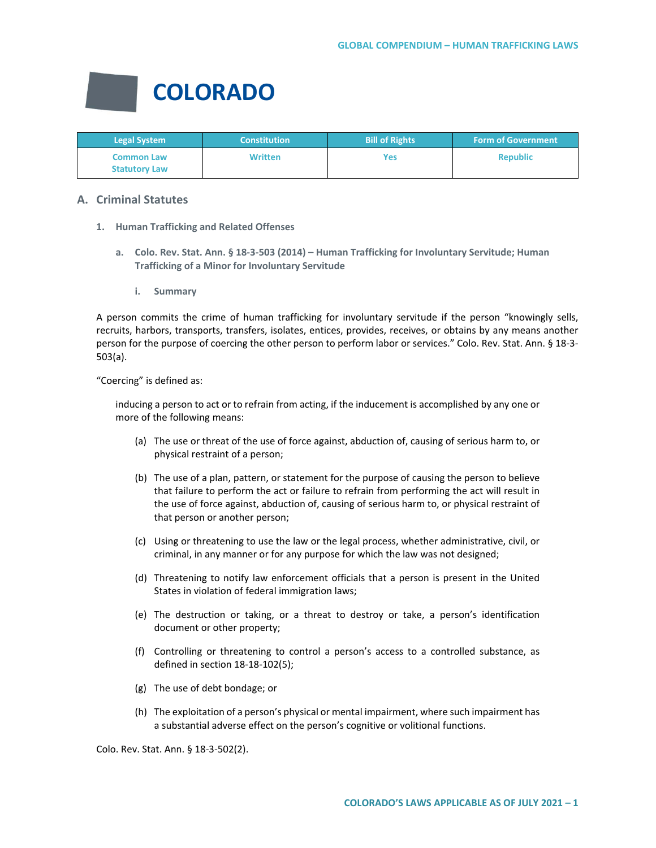

| <b>Legal System</b>                       | <b>Constitution</b> | <b>Bill of Rights</b> | <b>Form of Government</b> |
|-------------------------------------------|---------------------|-----------------------|---------------------------|
| <b>Common Law</b><br><b>Statutory Law</b> | <b>Written</b>      | Yes                   | <b>Republic</b>           |

# **A. Criminal Statutes**

- **1. Human Trafficking and Related Offenses**
	- **a. Colo. Rev. Stat. Ann. § 18-3-503 (2014) – Human Trafficking for Involuntary Servitude; Human Trafficking of a Minor for Involuntary Servitude**
		- **i. Summary**

A person commits the crime of human trafficking for involuntary servitude if the person "knowingly sells, recruits, harbors, transports, transfers, isolates, entices, provides, receives, or obtains by any means another person for the purpose of coercing the other person to perform labor or services." Colo. Rev. Stat. Ann. § 18-3- 503(a).

"Coercing" is defined as:

inducing a person to act or to refrain from acting, if the inducement is accomplished by any one or more of the following means:

- (a) The use or threat of the use of force against, abduction of, causing of serious harm to, or physical restraint of a person;
- (b) The use of a plan, pattern, or statement for the purpose of causing the person to believe that failure to perform the act or failure to refrain from performing the act will result in the use of force against, abduction of, causing of serious harm to, or physical restraint of that person or another person;
- (c) Using or threatening to use the law or the legal process, whether administrative, civil, or criminal, in any manner or for any purpose for which the law was not designed;
- (d) Threatening to notify law enforcement officials that a person is present in the United States in violation of federal immigration laws;
- (e) The destruction or taking, or a threat to destroy or take, a person's identification document or other property;
- (f) Controlling or threatening to control a person's access to a controlled substance, as defined in section 18-18-102(5);
- (g) The use of debt bondage; or
- (h) The exploitation of a person's physical or mental impairment, where such impairment has a substantial adverse effect on the person's cognitive or volitional functions.

Colo. Rev. Stat. Ann. § 18-3-502(2).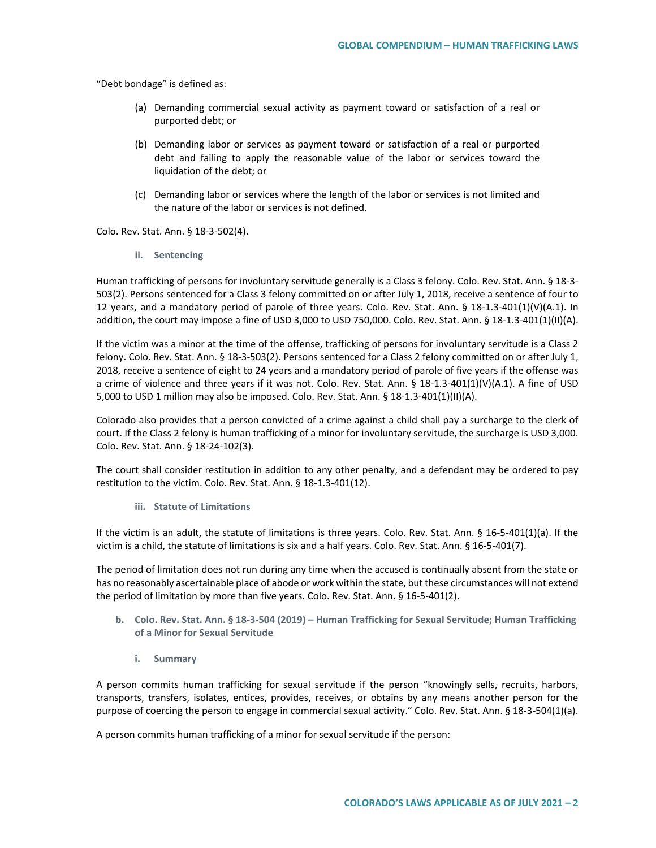"Debt bondage" is defined as:

- (a) Demanding commercial sexual activity as payment toward or satisfaction of a real or purported debt; or
- (b) Demanding labor or services as payment toward or satisfaction of a real or purported debt and failing to apply the reasonable value of the labor or services toward the liquidation of the debt; or
- (c) Demanding labor or services where the length of the labor or services is not limited and the nature of the labor or services is not defined.

Colo. Rev. Stat. Ann. § 18-3-502(4).

**ii. Sentencing**

Human trafficking of persons for involuntary servitude generally is a Class 3 felony. Colo. Rev. Stat. Ann. § 18-3- 503(2). Persons sentenced for a Class 3 felony committed on or after July 1, 2018, receive a sentence of four to 12 years, and a mandatory period of parole of three years. Colo. Rev. Stat. Ann. § 18-1.3-401(1)(V)(A.1). In addition, the court may impose a fine of USD 3,000 to USD 750,000. Colo. Rev. Stat. Ann. § 18-1.3-401(1)(II)(A).

If the victim was a minor at the time of the offense, trafficking of persons for involuntary servitude is a Class 2 felony. Colo. Rev. Stat. Ann. § 18-3-503(2). Persons sentenced for a Class 2 felony committed on or after July 1, 2018, receive a sentence of eight to 24 years and a mandatory period of parole of five years if the offense was a crime of violence and three years if it was not. Colo. Rev. Stat. Ann. § 18-1.3-401(1)(V)(A.1). A fine of USD 5,000 to USD 1 million may also be imposed. Colo. Rev. Stat. Ann. § 18-1.3-401(1)(II)(A).

Colorado also provides that a person convicted of a crime against a child shall pay a surcharge to the clerk of court. If the Class 2 felony is human trafficking of a minor for involuntary servitude, the surcharge is USD 3,000. Colo. Rev. Stat. Ann. § 18-24-102(3).

The court shall consider restitution in addition to any other penalty, and a defendant may be ordered to pay restitution to the victim. Colo. Rev. Stat. Ann. § 18-1.3-401(12).

**iii. Statute of Limitations**

If the victim is an adult, the statute of limitations is three years. Colo. Rev. Stat. Ann. § 16-5-401(1)(a). If the victim is a child, the statute of limitations is six and a half years. Colo. Rev. Stat. Ann. § 16-5-401(7).

The period of limitation does not run during any time when the accused is continually absent from the state or has no reasonably ascertainable place of abode or work within the state, but these circumstances will not extend the period of limitation by more than five years. Colo. Rev. Stat. Ann. § 16-5-401(2).

- **b. Colo. Rev. Stat. Ann. § 18-3-504 (2019) – Human Trafficking for Sexual Servitude; Human Trafficking of a Minor for Sexual Servitude**
	- **i. Summary**

A person commits human trafficking for sexual servitude if the person "knowingly sells, recruits, harbors, transports, transfers, isolates, entices, provides, receives, or obtains by any means another person for the purpose of coercing the person to engage in commercial sexual activity." Colo. Rev. Stat. Ann. § 18-3-504(1)(a).

A person commits human trafficking of a minor for sexual servitude if the person: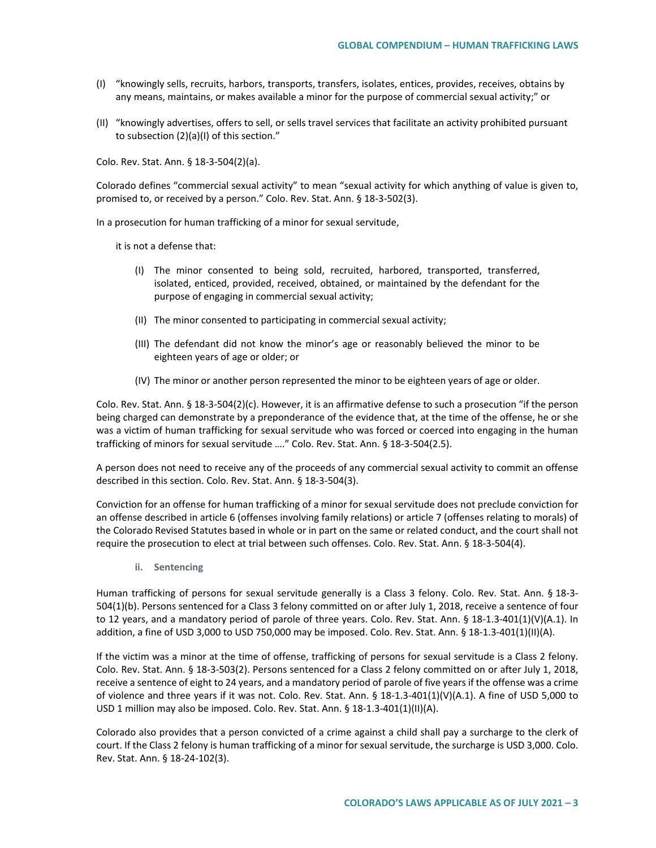- (I) "knowingly sells, recruits, harbors, transports, transfers, isolates, entices, provides, receives, obtains by any means, maintains, or makes available a minor for the purpose of commercial sexual activity;" or
- (II) "knowingly advertises, offers to sell, or sells travel services that facilitate an activity prohibited pursuant to subsection (2)(a)(I) of this section."

Colo. Rev. Stat. Ann. § 18-3-504(2)(a).

Colorado defines "commercial sexual activity" to mean "sexual activity for which anything of value is given to, promised to, or received by a person." Colo. Rev. Stat. Ann. § 18-3-502(3).

In a prosecution for human trafficking of a minor for sexual servitude,

it is not a defense that:

- (I) The minor consented to being sold, recruited, harbored, transported, transferred, isolated, enticed, provided, received, obtained, or maintained by the defendant for the purpose of engaging in commercial sexual activity;
- (II) The minor consented to participating in commercial sexual activity;
- (III) The defendant did not know the minor's age or reasonably believed the minor to be eighteen years of age or older; or
- (IV) The minor or another person represented the minor to be eighteen years of age or older.

Colo. Rev. Stat. Ann. § 18-3-504(2)(c). However, it is an affirmative defense to such a prosecution "if the person being charged can demonstrate by a preponderance of the evidence that, at the time of the offense, he or she was a victim of human trafficking for sexual servitude who was forced or coerced into engaging in the human trafficking of minors for sexual servitude …." Colo. Rev. Stat. Ann. § 18-3-504(2.5).

A person does not need to receive any of the proceeds of any commercial sexual activity to commit an offense described in this section. Colo. Rev. Stat. Ann. § 18-3-504(3).

Conviction for an offense for human trafficking of a minor for sexual servitude does not preclude conviction for an offense described in article 6 (offenses involving family relations) or article 7 (offenses relating to morals) of the Colorado Revised Statutes based in whole or in part on the same or related conduct, and the court shall not require the prosecution to elect at trial between such offenses. Colo. Rev. Stat. Ann. § 18-3-504(4).

**ii. Sentencing**

Human trafficking of persons for sexual servitude generally is a Class 3 felony. Colo. Rev. Stat. Ann. § 18-3- 504(1)(b). Persons sentenced for a Class 3 felony committed on or after July 1, 2018, receive a sentence of four to 12 years, and a mandatory period of parole of three years. Colo. Rev. Stat. Ann. § 18-1.3-401(1)(V)(A.1). In addition, a fine of USD 3,000 to USD 750,000 may be imposed. Colo. Rev. Stat. Ann. § 18-1.3-401(1)(II)(A).

If the victim was a minor at the time of offense, trafficking of persons for sexual servitude is a Class 2 felony. Colo. Rev. Stat. Ann. § 18-3-503(2). Persons sentenced for a Class 2 felony committed on or after July 1, 2018, receive a sentence of eight to 24 years, and a mandatory period of parole of five years if the offense was a crime of violence and three years if it was not. Colo. Rev. Stat. Ann. § 18-1.3-401(1)(V)(A.1). A fine of USD 5,000 to USD 1 million may also be imposed. Colo. Rev. Stat. Ann. § 18-1.3-401(1)(II)(A).

Colorado also provides that a person convicted of a crime against a child shall pay a surcharge to the clerk of court. If the Class 2 felony is human trafficking of a minor for sexual servitude, the surcharge is USD 3,000. Colo. Rev. Stat. Ann. § 18-24-102(3).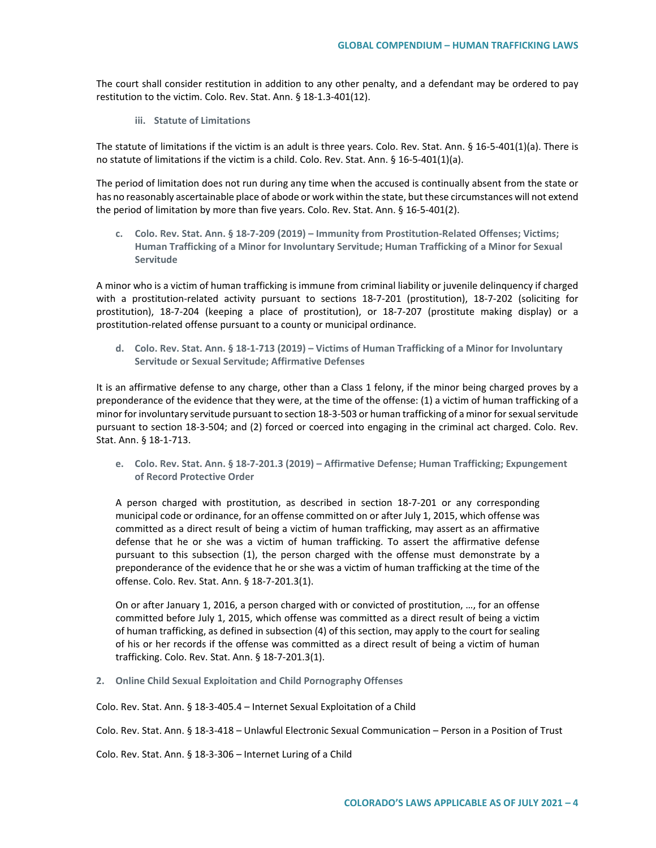The court shall consider restitution in addition to any other penalty, and a defendant may be ordered to pay restitution to the victim. Colo. Rev. Stat. Ann. § 18-1.3-401(12).

**iii. Statute of Limitations**

The statute of limitations if the victim is an adult is three years. Colo. Rev. Stat. Ann. § 16-5-401(1)(a). There is no statute of limitations if the victim is a child. Colo. Rev. Stat. Ann. § 16-5-401(1)(a).

The period of limitation does not run during any time when the accused is continually absent from the state or has no reasonably ascertainable place of abode or work within the state, but these circumstances will not extend the period of limitation by more than five years. Colo. Rev. Stat. Ann. § 16-5-401(2).

**c. Colo. Rev. Stat. Ann. § 18-7-209 (2019) – Immunity from Prostitution-Related Offenses; Victims; Human Trafficking of a Minor for Involuntary Servitude; Human Trafficking of a Minor for Sexual Servitude**

A minor who is a victim of human trafficking is immune from criminal liability or juvenile delinquency if charged with a prostitution-related activity pursuant to sections 18-7-201 (prostitution), 18-7-202 (soliciting for prostitution), 18-7-204 (keeping a place of prostitution), or 18-7-207 (prostitute making display) or a prostitution-related offense pursuant to a county or municipal ordinance.

**d. Colo. Rev. Stat. Ann. § 18-1-713 (2019) – Victims of Human Trafficking of a Minor for Involuntary Servitude or Sexual Servitude; Affirmative Defenses**

It is an affirmative defense to any charge, other than a Class 1 felony, if the minor being charged proves by a preponderance of the evidence that they were, at the time of the offense: (1) a victim of human trafficking of a minor for involuntary servitude pursuant to section 18-3-503 or human trafficking of a minor for sexual servitude pursuant to section 18-3-504; and (2) forced or coerced into engaging in the criminal act charged. Colo. Rev. Stat. Ann. § 18-1-713.

**e. Colo. Rev. Stat. Ann. § 18-7-201.3 (2019) – Affirmative Defense; Human Trafficking; Expungement of Record Protective Order**

A person charged with prostitution, as described in section 18-7-201 or any corresponding municipal code or ordinance, for an offense committed on or after July 1, 2015, which offense was committed as a direct result of being a victim of human trafficking, may assert as an affirmative defense that he or she was a victim of human trafficking. To assert the affirmative defense pursuant to this subsection (1), the person charged with the offense must demonstrate by a preponderance of the evidence that he or she was a victim of human trafficking at the time of the offense. Colo. Rev. Stat. Ann. § 18-7-201.3(1).

On or after January 1, 2016, a person charged with or convicted of prostitution, …, for an offense committed before July 1, 2015, which offense was committed as a direct result of being a victim of human trafficking, as defined in subsection (4) of this section, may apply to the court for sealing of his or her records if the offense was committed as a direct result of being a victim of human trafficking. Colo. Rev. Stat. Ann. § 18-7-201.3(1).

**2. Online Child Sexual Exploitation and Child Pornography Offenses**

Colo. Rev. Stat. Ann. § 18-3-405.4 – Internet Sexual Exploitation of a Child

Colo. Rev. Stat. Ann. § 18-3-418 – Unlawful Electronic Sexual Communication – Person in a Position of Trust

Colo. Rev. Stat. Ann. § 18-3-306 – Internet Luring of a Child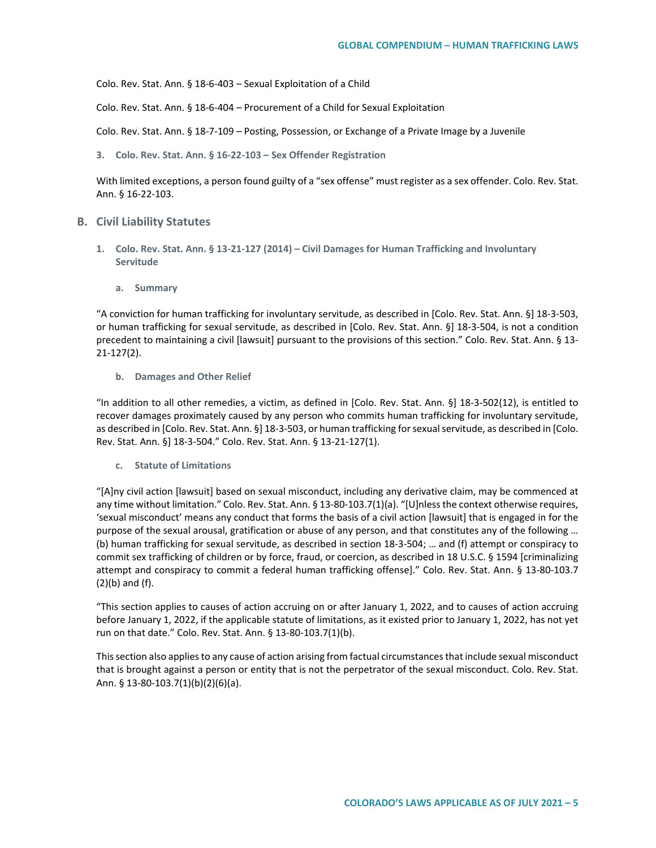Colo. Rev. Stat. Ann. § 18-6-403 – Sexual Exploitation of a Child

Colo. Rev. Stat. Ann. § 18-6-404 – Procurement of a Child for Sexual Exploitation

Colo. Rev. Stat. Ann. § 18-7-109 – Posting, Possession, or Exchange of a Private Image by a Juvenile

**3. Colo. Rev. Stat. Ann. § 16-22-103 – Sex Offender Registration**

With limited exceptions, a person found guilty of a "sex offense" must register as a sex offender. Colo. Rev. Stat. Ann. § 16-22-103.

#### **B. Civil Liability Statutes**

- **1. Colo. Rev. Stat. Ann. § 13-21-127 (2014) – Civil Damages for Human Trafficking and Involuntary Servitude**
	- **a. Summary**

"A conviction for human trafficking for involuntary servitude, as described in [Colo. Rev. Stat. Ann. §] 18-3-503, or human trafficking for sexual servitude, as described in [Colo. Rev. Stat. Ann. §] 18-3-504, is not a condition precedent to maintaining a civil [lawsuit] pursuant to the provisions of this section." Colo. Rev. Stat. Ann. § 13- 21-127(2).

#### **b. Damages and Other Relief**

"In addition to all other remedies, a victim, as defined in [Colo. Rev. Stat. Ann. §] 18-3-502(12), is entitled to recover damages proximately caused by any person who commits human trafficking for involuntary servitude, as described in [Colo. Rev. Stat. Ann. §] 18-3-503, or human trafficking for sexual servitude, as described in [Colo. Rev. Stat. Ann. §] 18-3-504." Colo. Rev. Stat. Ann. § 13-21-127(1).

**c. Statute of Limitations**

"[A]ny civil action [lawsuit] based on sexual misconduct, including any derivative claim, may be commenced at any time without limitation." Colo. Rev. Stat. Ann. § 13-80-103.7(1)(a). "[U]nless the context otherwise requires, 'sexual misconduct' means any conduct that forms the basis of a civil action [lawsuit] that is engaged in for the purpose of the sexual arousal, gratification or abuse of any person, and that constitutes any of the following … (b) human trafficking for sexual servitude, as described in section 18-3-504; … and (f) attempt or conspiracy to commit sex trafficking of children or by force, fraud, or coercion, as described in 18 U.S.C. § 1594 [criminalizing attempt and conspiracy to commit a federal human trafficking offense]." Colo. Rev. Stat. Ann. § 13-80-103.7 (2)(b) and (f).

"This section applies to causes of action accruing on or after January 1, 2022, and to causes of action accruing before January 1, 2022, if the applicable statute of limitations, as it existed prior to January 1, 2022, has not yet run on that date." Colo. Rev. Stat. Ann. § 13-80-103.7(1)(b).

This section also applies to any cause of action arising from factual circumstances that include sexual misconduct that is brought against a person or entity that is not the perpetrator of the sexual misconduct. Colo. Rev. Stat. Ann. § 13-80-103.7(1)(b)(2)(6)(a).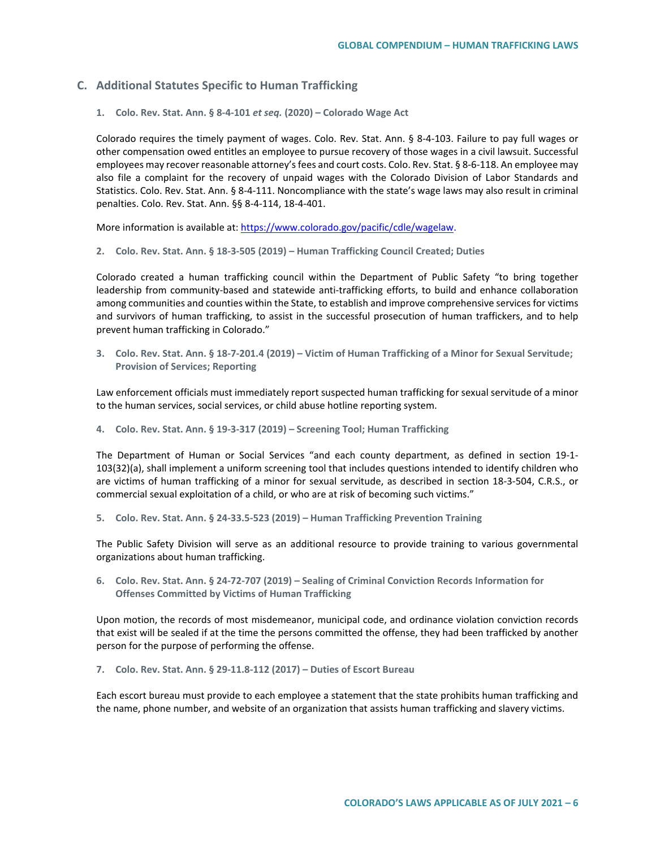# **C. Additional Statutes Specific to Human Trafficking**

**1. Colo. Rev. Stat. Ann. § 8-4-101** *et seq.* **(2020) – Colorado Wage Act**

Colorado requires the timely payment of wages. Colo. Rev. Stat. Ann. § 8-4-103. Failure to pay full wages or other compensation owed entitles an employee to pursue recovery of those wages in a civil lawsuit. Successful employees may recover reasonable attorney's fees and court costs. Colo. Rev. Stat. § 8-6-118. An employee may also file a complaint for the recovery of unpaid wages with the Colorado Division of Labor Standards and Statistics. Colo. Rev. Stat. Ann. § 8-4-111. Noncompliance with the state's wage laws may also result in criminal penalties. Colo. Rev. Stat. Ann. §§ 8-4-114, 18-4-401.

More information is available at: [https://www.colorado.gov/pacific/cdle/wagelaw.](https://www.colorado.gov/pacific/cdle/wagelaw)

**2. Colo. Rev. Stat. Ann. § 18-3-505 (2019) – Human Trafficking Council Created; Duties**

Colorado created a human trafficking council within the Department of Public Safety "to bring together leadership from community-based and statewide anti-trafficking efforts, to build and enhance collaboration among communities and counties within the State, to establish and improve comprehensive services for victims and survivors of human trafficking, to assist in the successful prosecution of human traffickers, and to help prevent human trafficking in Colorado."

**3. Colo. Rev. Stat. Ann. § 18-7-201.4 (2019) – Victim of Human Trafficking of a Minor for Sexual Servitude; Provision of Services; Reporting**

Law enforcement officials must immediately report suspected human trafficking for sexual servitude of a minor to the human services, social services, or child abuse hotline reporting system.

**4. Colo. Rev. Stat. Ann. § 19-3-317 (2019) – Screening Tool; Human Trafficking**

The Department of Human or Social Services "and each county department, as defined in section 19-1- 103(32)(a), shall implement a uniform screening tool that includes questions intended to identify children who are victims of human trafficking of a minor for sexual servitude, as described in section 18-3-504, C.R.S., or commercial sexual exploitation of a child, or who are at risk of becoming such victims."

**5. Colo. Rev. Stat. Ann. § 24-33.5-523 (2019) – Human Trafficking Prevention Training**

The Public Safety Division will serve as an additional resource to provide training to various governmental organizations about human trafficking.

**6. Colo. Rev. Stat. Ann. § 24-72-707 (2019) – Sealing of Criminal Conviction Records Information for Offenses Committed by Victims of Human Trafficking**

Upon motion, the records of most misdemeanor, municipal code, and ordinance violation conviction records that exist will be sealed if at the time the persons committed the offense, they had been trafficked by another person for the purpose of performing the offense.

**7. Colo. Rev. Stat. Ann. § 29-11.8-112 (2017) – Duties of Escort Bureau**

Each escort bureau must provide to each employee a statement that the state prohibits human trafficking and the name, phone number, and website of an organization that assists human trafficking and slavery victims.